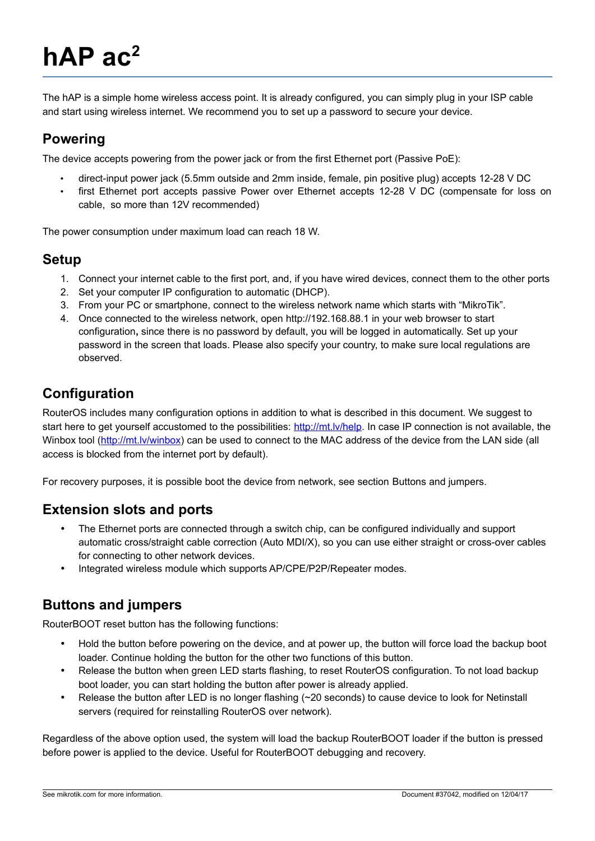# **hAP ac<sup>2</sup>**

The hAP is a simple home wireless access point. It is already configured, you can simply plug in your ISP cable and start using wireless internet. We recommend you to set up a password to secure your device.

#### **Powering**

The device accepts powering from the power jack or from the first Ethernet port (Passive PoE):

- direct-input power jack (5.5mm outside and 2mm inside, female, pin positive plug) accepts 12-28 V DC
- first Ethernet port accepts passive Power over Ethernet accepts 12-28 V DC (compensate for loss on cable, so more than 12V recommended)

The power consumption under maximum load can reach 18 W.

#### **Setup**

- 1. Connect your internet cable to the first port, and, if you have wired devices, connect them to the other ports
- 2. Set your computer IP configuration to automatic (DHCP).
- 3. From your PC or smartphone, connect to the wireless network name which starts with "MikroTik".
- 4. Once connected to the wireless network, open http://192.168.88.1 in your web browser to start configuration**,** since there is no password by default, you will be logged in automatically. Set up your password in the screen that loads. Please also specify your country, to make sure local regulations are observed.

## **Configuration**

RouterOS includes many configuration options in addition to what is described in this document. We suggest to start here to get yourself accustomed to the possibilities: [http://mt.lv/help.](http://mt.lv/help) In case IP connection is not available, the Winbox tool [\(http://mt.lv/winbox\)](http://mt.lv/winbox) can be used to connect to the MAC address of the device from the LAN side (all access is blocked from the internet port by default).

For recovery purposes, it is possible boot the device from network, see section [Buttons and jumpers.](#page-0-0)

#### **Extension slots and ports**

- The Ethernet ports are connected through a switch chip, can be configured individually and support automatic cross/straight cable correction (Auto MDI/X), so you can use either straight or cross-over cables for connecting to other network devices.
- Integrated wireless module which supports AP/CPE/P2P/Repeater modes.

#### <span id="page-0-0"></span>**Buttons and jumpers**

RouterBOOT reset button has the following functions:

- Hold the button before powering on the device, and at power up, the button will force load the backup boot loader. Continue holding the button for the other two functions of this button.
- Release the button when green LED starts flashing, to reset RouterOS configuration. To not load backup boot loader, you can start holding the button after power is already applied.
- Release the button after LED is no longer flashing (~20 seconds) to cause device to look for Netinstall servers (required for reinstalling RouterOS over network).

Regardless of the above option used, the system will load the backup RouterBOOT loader if the button is pressed before power is applied to the device. Useful for RouterBOOT debugging and recovery.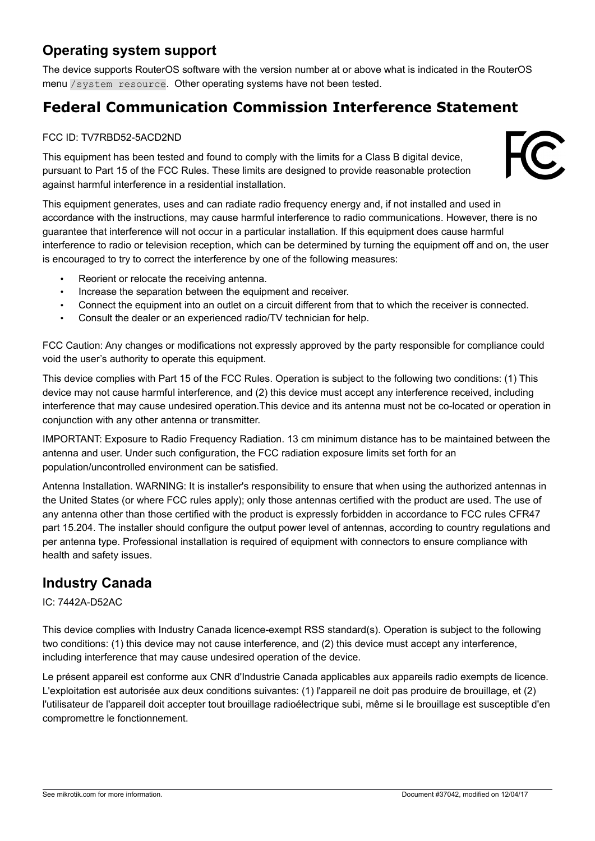## **Operating system support**

The device supports RouterOS software with the version number at or above what is indicated in the RouterOS menu /system resource. Other operating systems have not been tested.

# **Federal Communication Commission Interference Statement**

#### FCC ID: TV7RBD52-5ACD2ND

This equipment has been tested and found to comply with the limits for a Class B digital device, pursuant to Part 15 of the FCC Rules. These limits are designed to provide reasonable protection against harmful interference in a residential installation.

This equipment generates, uses and can radiate radio frequency energy and, if not installed and used in accordance with the instructions, may cause harmful interference to radio communications. However, there is no guarantee that interference will not occur in a particular installation. If this equipment does cause harmful interference to radio or television reception, which can be determined by turning the equipment off and on, the user is encouraged to try to correct the interference by one of the following measures:

- Reorient or relocate the receiving antenna.
- Increase the separation between the equipment and receiver.
- Connect the equipment into an outlet on a circuit different from that to which the receiver is connected.
- Consult the dealer or an experienced radio/TV technician for help.

FCC Caution: Any changes or modifications not expressly approved by the party responsible for compliance could void the user's authority to operate this equipment.

This device complies with Part 15 of the FCC Rules. Operation is subject to the following two conditions: (1) This device may not cause harmful interference, and (2) this device must accept any interference received, including interference that may cause undesired operation.This device and its antenna must not be co-located or operation in conjunction with any other antenna or transmitter.

IMPORTANT: Exposure to Radio Frequency Radiation. 13 cm minimum distance has to be maintained between the antenna and user. Under such configuration, the FCC radiation exposure limits set forth for an population/uncontrolled environment can be satisfied.

Antenna Installation. WARNING: It is installer's responsibility to ensure that when using the authorized antennas in the United States (or where FCC rules apply); only those antennas certified with the product are used. The use of any antenna other than those certified with the product is expressly forbidden in accordance to FCC rules CFR47 part 15.204. The installer should configure the output power level of antennas, according to country regulations and per antenna type. Professional installation is required of equipment with connectors to ensure compliance with health and safety issues.

# **Industry Canada**

#### IC: 7442A-D52AC

This device complies with Industry Canada licence-exempt RSS standard(s). Operation is subject to the following two conditions: (1) this device may not cause interference, and (2) this device must accept any interference, including interference that may cause undesired operation of the device.

Le présent appareil est conforme aux CNR d'Industrie Canada applicables aux appareils radio exempts de licence. L'exploitation est autorisée aux deux conditions suivantes: (1) l'appareil ne doit pas produire de brouillage, et (2) l'utilisateur de l'appareil doit accepter tout brouillage radioélectrique subi, même si le brouillage est susceptible d'en compromettre le fonctionnement.